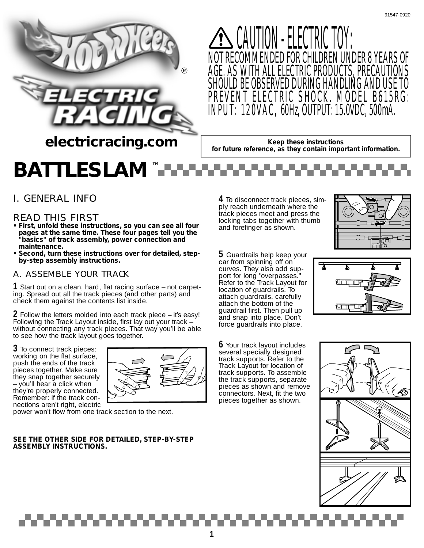

CAUTION - ELECTRIC TOY: NOT RECOMMENDED FOR CHILDREN UNDER 8 YEARS OF AGE. AS WITH ALL ELECTRIC PRODUCTS, PRECAUTIONS SHOULD BE OBSERVED DURING HANDLING AND USE TO PREVENT ELECTRIC SHOCK. MODEL B615RG: INPUT: 120VAC, 60Hz, OUTPUT: 15.0VDC, 500mA.

**Keep these instructions for future reference, as they contain important information.** 

# *BATTLESLAM™*

# *I. GENERAL INFO*

## *READ THIS FIRST*

- **First, unfold these instructions, so you can see all four pages at the same time. These four pages tell you the "basics" of track assembly, power connection and maintenance.**
- **Second, turn these instructions over for detailed, stepby-step assembly instructions.**

## *A. ASSEMBLE YOUR TRACK*

**1** Start out on a clean, hard, flat racing surface – not carpeting. Spread out all the track pieces (and other parts) and check them against the contents list inside.

**2** Follow the letters molded into each track piece – it's easy! Following the Track Layout inside, first lay out your track – without connecting any track pieces. That way you'll be able to see how the track layout goes together.

**3** To connect track pieces: working on the flat surface, push the ends of the track pieces together. Make sure they snap together securely – you'll hear a click when they're properly connected. Remember: if the track connections aren't right, electric



power won't flow from one track section to the next.

### **SEE THE OTHER SIDE FOR DETAILED, STEP-BY-STEP ASSEMBLY INSTRUCTIONS.**

**4** To disconnect track pieces, simply reach underneath where the track pieces meet and press the locking tabs together with thumb and forefinger as shown.



**5** Guardrails help keep your car from spinning off on curves. They also add support for long "overpasses. Refer to the Track Layout for location of guardrails. To attach guardrails, carefully attach the bottom of the guardrail first. Then pull up and snap into place. Don't force guardrails into place.

**6** Your track layout includes several specially designed track supports. Refer to the Track Layout for location of track supports. To assemble the track supports, separate pieces as shown and remove connectors. Next, fit the two pieces together as shown.



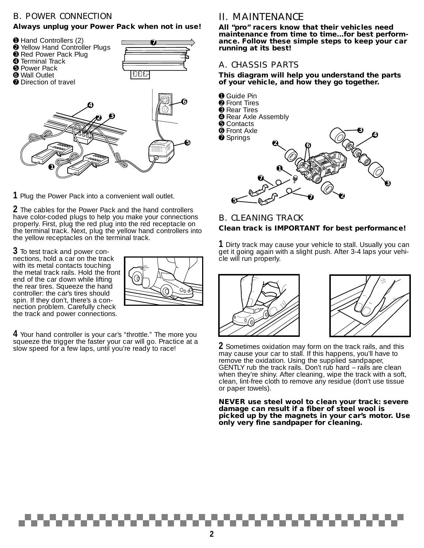### *B. POWER CONNECTION*

➎ Power Pack ➏ Wall Outlet

### **Always unplug your Power Pack when not in use!**





**7** 



**1** Plug the Power Pack into a convenient wall outlet.

**2** The cables for the Power Pack and the hand controllers have color-coded plugs to help you make your connections properly. First, plug the red plug into the red receptacle on the terminal track. Next, plug the yellow hand controllers into the yellow receptacles on the terminal track.

**3** To test track and power connections, hold a car on the track with its metal contacts touching the metal track rails. Hold the front end of the car down while lifting the rear tires. Squeeze the hand controller: the car's tires should spin. If they don't, there's a connection problem. Carefully check the track and power connections.



**4** Your hand controller is your car's "throttle." The more you squeeze the trigger the faster your car will go. Practice at a slow speed for a few laps, until you're ready to race!

## *II. MAINTENANCE*

**All "pro" racers know that their vehicles need maintenance from time to time…for best performance. Follow these simple steps to keep your car running at its best!**

### *A. CHASSIS PARTS*

**This diagram will help you understand the parts of your vehicle, and how they go together.**



### *B. CLEANING TRACK* **Clean track is IMPORTANT for best performance!**

**1** Dirty track may cause your vehicle to stall. Usually you can get it going again with a slight push. After 3-4 laps your vehicle will run properly.





**2** Sometimes oxidation may form on the track rails, and this may cause your car to stall. If this happens, you'll have to remove the oxidation. Using the supplied sandpaper, GENTLY rub the track rails. Don't rub hard – rails are clean when they're shiny. After cleaning, wipe the track with a soft, clean, lint-free cloth to remove any residue (don't use tissue or paper towels).

**NEVER use steel wool to clean your track: severe damage can result if a fiber of steel wool is picked up by the magnets in your car's motor. Use only very fine sandpaper for cleaning.**

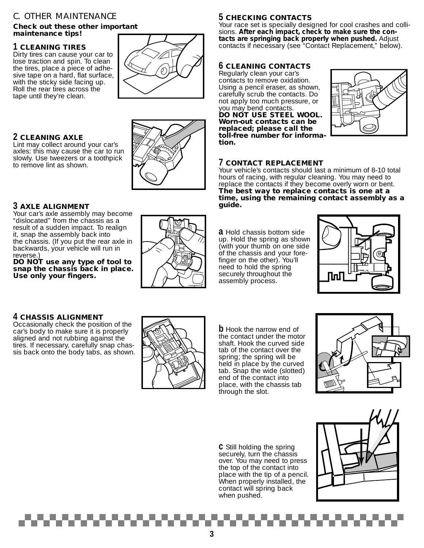### *C. OTHER MAINTENANCE*

### **Check out these other important maintenance tips!**

### **1 CLEANING TIRES**

Dirty tires can cause your car to lose traction and spin. To clean the tires, place a piece of adhesive tape on a hard, flat surface, with the sticky side facing up. Roll the rear tires across the tape until they're clean.



### **2 CLEANING AXLE**

Lint may collect around your car's axles: this may cause the car to run slowly. Use tweezers or a toothpick to remove lint as shown.



### **3 AXLE ALIGNMENT**

Your car's axle assembly may become "dislocated" from the chassis as a result of a sudden impact. To realign it, snap the assembly back into the chassis. (If you put the rear axle in backwards, your vehicle will run in reverse.)

**DO NOT use any type of tool to snap the chassis back in place. Use only your fingers.**

### **4 CHASSIS ALIGNMENT**

Occasionally check the position of the car's body to make sure it is properly aligned and not rubbing against the tires. If necessary, carefully snap chassis back onto the body tabs, as shown.

### **5 CHECKING CONTACTS**

Your race set is specially designed for cool crashes and collisions. **After each impact, check to make sure the contacts are springing back properly when pushed.** Adjust contacts if necessary (see "Contact Replacement," below).

### **6 CLEANING CONTACTS**

Regularly clean your car's contacts to remove oxidation. Using a pencil eraser, as shown, carefully scrub the contacts. Do not apply too much pressure, or you may bend contacts. **DO NOT USE STEEL WOOL. Worn-out contacts can be replaced; please call the toll-free number for information.**



### **7 CONTACT REPLACEMENT**

Your vehicle's contacts should last a minimum of 8-10 total hours of racing, with regular cleaning. You may need to replace the contacts if they become overly worn or bent. **The best way to replace contacts is one at a time, using the remaining contact assembly as a guide.**

**a** Hold chassis bottom side up. Hold the spring as shown (with your thumb on one side of the chassis and your forefinger on the other). You'll need to hold the spring securely throughout the assembly process.





**b** Hook the narrow end of the contact under the motor shaft. Hook the curved side tab of the contact over the spring; the spring will be held in place by the curved tab. Snap the wide (slotted) end of the contact into place, with the chassis tab through the slot.



**c** Still holding the spring securely, turn the chassis over. You may need to press the top of the contact into place with the tip of a pencil. When properly installed, the contact will spring back when pushed.

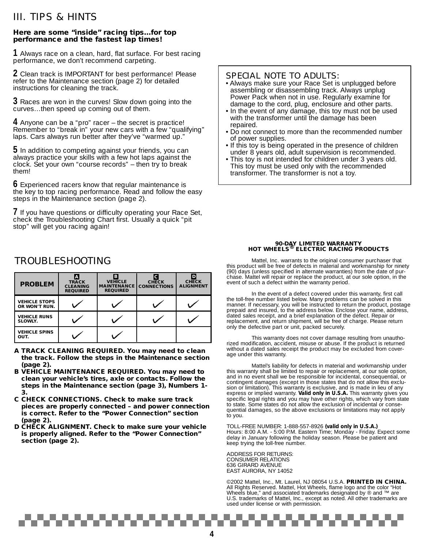## *III. TIPS & HINTS*

### **Here are some "inside" racing tips…for top performance and the fastest lap times!**

**1** Always race on a clean, hard, flat surface. For best racing performance, we don't recommend carpeting.

**2** Clean track is IMPORTANT for best performance! Please refer to the Maintenance section (page 2) for detailed instructions for cleaning the track.

**3** Races are won in the curves! Slow down going into the curves…then speed up coming out of them.

**4** Anyone can be a "pro" racer – the secret is practice! Remember to "break in" your new cars with a few "qualifying" laps. Cars always run better after they've "warmed up."

**5** In addition to competing against your friends, you can always practice your skills with a few hot laps against the clock. Set your own "course records" – then try to break them!

**6** Experienced racers know that regular maintenance is the key to top racing performance. Read and follow the easy steps in the Maintenance section (page 2).

**7** If you have questions or difficulty operating your Race Set, check the Troubleshooting Chart first. Usually a quick "pit stop" will get you racing again!

### *SPECIAL NOTE TO ADULTS:*

- Always make sure your Race Set is unplugged before assembling or disassembling track. Always unplug Power Pack when not in use. Regularly examine for damage to the cord, plug, enclosure and other parts.
- In the event of any damage, this toy must not be used with the transformer until the damage has been repaired.
- Do not connect to more than the recommended number of power supplies.
- If this toy is being operated in the presence of children under 8 years old, adult supervision is recommended.
- This toy is not intended for children under 3 years old. This toy must be used only with the recommended transformer. The transformer is not a toy.

# **90-DAY LIMITED WARRANTY HOT WHEELS® ELECTRIC RACING PRODUCTS**

Mattel, Inc. warrants to the original consumer purchaser that this product will be free of defects in material and workmanship for ninety (90) days (unless specified in alternate warranties) from the date of purchase. Mattel will repair or replace the product, at our sole option, in the event of such a defect within the warranty period.

In the event of a defect covered under this warranty, first call the toll-free number listed below. Many problems can be solved in this manner. If necessary, you will be instructed to return the product, postage prepaid and insured, to the address below. Enclose your name, address, dated sales receipt, and a brief explanation of the defect. Repair or replacement, and return shipment, will be free of charge. Please return only the defective part or unit, packed securely.

This warranty does not cover damage resulting from unauthorized modification, accident, misuse or abuse. If the product is returned without a dated sales receipt the product may be excluded from coverage under this warranty.

Mattel's liability for defects in material and workmanship under this warranty shall be limited to repair or replacement, at our sole option, and in no event shall we be responsible for incidental, consequential, or contingent damages (except in those states that do not allow this exclusion or limitation). This warranty is exclusive, and is made in lieu of any express or implied warranty. **Valid only in U.S.A.** This warranty gives you specific legal rights and you may have other rights, which vary from state to state. Some states do not allow the exclusion of incidental or consequential damages, so the above exclusions or limitations may not apply to you.

TOLL-FREE NUMBER: 1-888-557-8926 **(valid only in U.S.A.)** Hours: 8:00 A.M. - 5:00 P.M. Eastern Time; Monday - Friday. Expect some delay in January following the holiday season. Please be patient and keep trying the toll-free number.

ADDRESS FOR RETURNS: CONSUMER RELATIONS 636 GIRARD AVENUE EAST AURORA, NY 14052

t i

©2002 Mattel, Inc., Mt. Laurel, NJ 08054 U.S.A. **PRINTED IN CHINA.** All Rights Reserved. Mattel, Hot Wheels, flame logo and the color "Hot Wheels blue," and associated trademarks designated by <sup>®</sup> and ™ are U.S. trademarks of Mattel, Inc., except as noted. All other trademarks are used under license or with permission.

## *TROUBLESHOOTING*

| <b>PROBLEM</b>                        | <b>TRACK</b><br><b>CLEANING</b><br><b>REQUIRED</b> | В<br><b>VEHICLE</b><br><b>MAINTENANCE</b><br><b>REQUIRED</b> | <b>CHECK</b><br><b>CONNECTIONS</b> | <b>CHECK</b><br><b>ALIGNMENT</b> |
|---------------------------------------|----------------------------------------------------|--------------------------------------------------------------|------------------------------------|----------------------------------|
| <b>VEHICLE STOPS</b><br>OR WON'T RUN. |                                                    |                                                              |                                    |                                  |
| <b>VEHICLE RUNS</b><br>SLOWLY.        |                                                    |                                                              |                                    |                                  |
| <b>VEHICLE SPINS</b><br>OUT.          |                                                    |                                                              |                                    |                                  |

- **A TRACK CLEANING REQUIRED. You may need to clean the track. Follow the steps in the Maintenance section (page 2).**
- **B VEHICLE MAINTENANCE REQUIRED. You may need to clean your vehicle's tires, axle or contacts. Follow the steps in the Maintenance section (page 3), Numbers 1- 3.**
- **C CHECK CONNECTIONS. Check to make sure track pieces are properly connected – and power connection is correct. Refer to the "Power Connection" section (page 2).**
- **D CHECK ALIGNMENT. Check to make sure your vehicle is properly aligned. Refer to the "Power Connection" section (page 2).**

www.com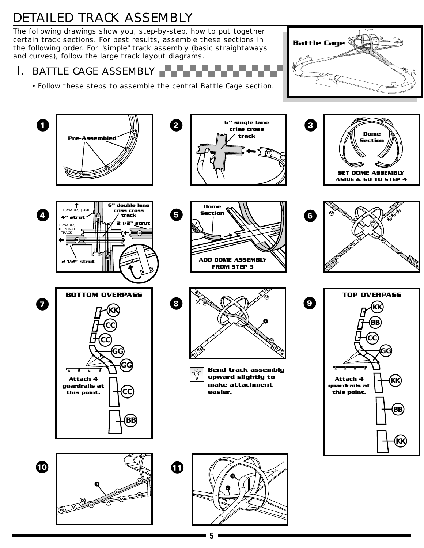# *DETAILED TRACK ASSEMBLY*

The following drawings show you, step-by-step, how to put together certain track sections. For best results, assemble these sections in the following order. For "simple" track assembly (basic straightaways and curves), follow the large track layout diagrams.

*I. BATTLE CAGE ASSEMBLY*

*• Follow these steps to assemble the central Battle Cage section.*



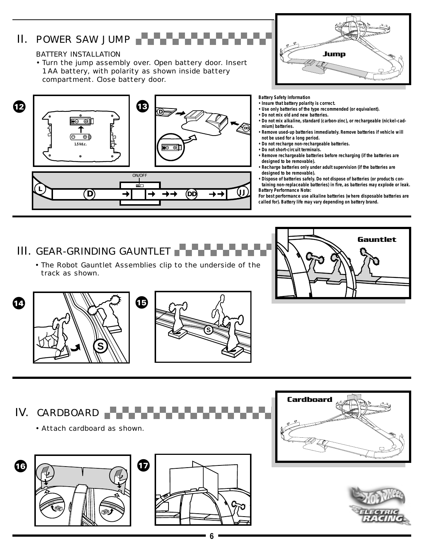# *II. POWER SAW JUMP*

### *BATTERY INSTALLATION*

*• Turn the jump assembly over. Open battery door. Insert 1 AA battery, with polarity as shown inside battery compartment. Close battery door.*





**Battery Safety Information**

- **Insure that battery polarity is correct.**
- **Use only batteries of the type recommended (or equivalent).**
- **Do not mix old and new batteries.**
- **Do not mix alkaline, standard (carbon-zinc), or rechargeable (nickel-cadmium) batteries.**
- **Remove used-up batteries immediately. Remove batteries if vehicle will not be used for a long period.**
- **Do not recharge non-rechargeable batteries.**
- **Do not short-circuit terminals.**
- **Remove rechargeable batteries before recharging (if the batteries are designed to be removable).**
- **Recharge batteries only under adult supervision (if the batteries are designed to be removable).**
- **Dispose of batteries safely. Do not dispose of batteries (or products containing non-replaceable batteries) in fire, as batteries may explode or leak.**
- **Battery Performance Note: For best performance use alkaline batteries (where disposable batteries are called for). Battery life may vary depending on battery brand.**

*III. GEAR-GRINDING GAUNTLET*

*• The Robot Gauntlet Assemblies clip to the underside of the track as shown.*







*IV. CARDBOARD*

*• Attach cardboard as shown.*







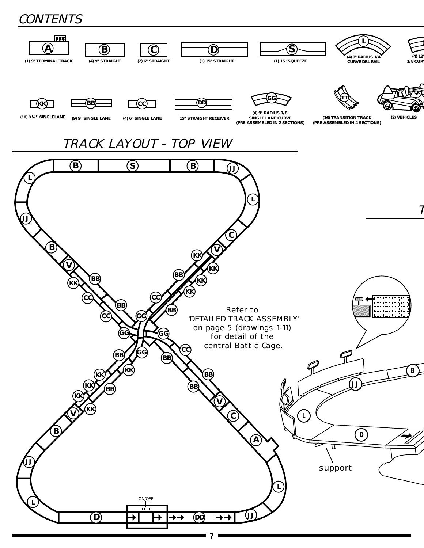# **CONTENTS**